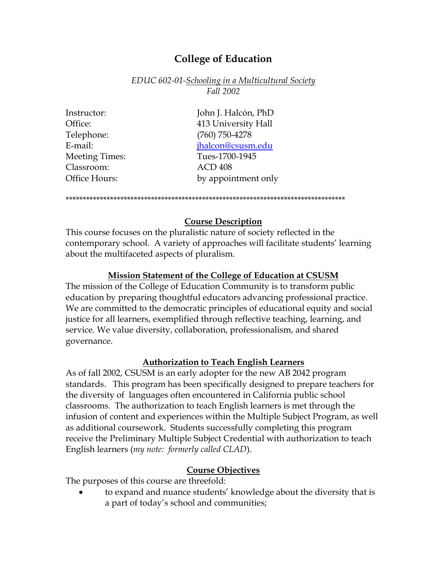# **College of Education**

*EDUC 602-01-Schooling in a Multicultural Society Fall 2002*

Telephone: (760) 750-4278 Classroom: ACD 408

Instructor: John J. Halcón, PhD Office: 413 University Hall E-mail: [jhalcon@csusm.edu](mailto:jhalcon@csusm.edu) Meeting Times: Tues-1700-1945 Office Hours: by appointment only

\*\*\*\*\*\*\*\*\*\*\*\*\*\*\*\*\*\*\*\*\*\*\*\*\*\*\*\*\*\*\*\*\*\*\*\*\*\*\*\*\*\*\*\*\*\*\*\*\*\*\*\*\*\*\*\*\*\*\*\*\*\*\*\*\*\*\*\*\*\*\*\*\*\*\*\*\*\*\*\*\*\*

# **Course Description**

This course focuses on the pluralistic nature of society reflected in the contemporary school. A variety of approaches will facilitate students' learning about the multifaceted aspects of pluralism.

# **Mission Statement of the College of Education at CSUSM**

The mission of the College of Education Community is to transform public education by preparing thoughtful educators advancing professional practice. We are committed to the democratic principles of educational equity and social justice for all learners, exemplified through reflective teaching, learning, and service. We value diversity, collaboration, professionalism, and shared governance.

# **Authorization to Teach English Learners**

As of fall 2002, CSUSM is an early adopter for the new AB 2042 program standards. This program has been specifically designed to prepare teachers for the diversity of languages often encountered in California public school classrooms. The authorization to teach English learners is met through the infusion of content and experiences within the Multiple Subject Program, as well as additional coursework. Students successfully completing this program receive the Preliminary Multiple Subject Credential with authorization to teach English learners (*my note: formerly called CLAD*).

# **Course Objectives**

The purposes of this course are threefold:

• to expand and nuance students' knowledge about the diversity that is a part of today's school and communities;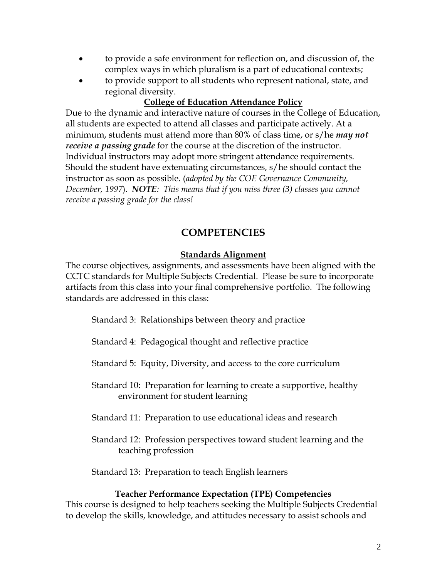- to provide a safe environment for reflection on, and discussion of, the complex ways in which pluralism is a part of educational contexts;
- to provide support to all students who represent national, state, and regional diversity.

# **College of Education Attendance Policy**

Due to the dynamic and interactive nature of courses in the College of Education, all students are expected to attend all classes and participate actively. At a minimum, students must attend more than 80% of class time, or s/he *may not receive a passing grade* for the course at the discretion of the instructor. Individual instructors may adopt more stringent attendance requirements. Should the student have extenuating circumstances, s/he should contact the instructor as soon as possible. (*adopted by the COE Governance Community, December, 1997*). *NOTE: This means that if you miss three (3) classes you cannot receive a passing grade for the class!*

# **COMPETENCIES**

# **Standards Alignment**

The course objectives, assignments, and assessments have been aligned with the CCTC standards for Multiple Subjects Credential. Please be sure to incorporate artifacts from this class into your final comprehensive portfolio. The following standards are addressed in this class:

Standard 3: Relationships between theory and practice

Standard 4: Pedagogical thought and reflective practice

Standard 5: Equity, Diversity, and access to the core curriculum

- Standard 10: Preparation for learning to create a supportive, healthy environment for student learning
- Standard 11: Preparation to use educational ideas and research
- Standard 12: Profession perspectives toward student learning and the teaching profession

Standard 13: Preparation to teach English learners

# **Teacher Performance Expectation (TPE) Competencies**

This course is designed to help teachers seeking the Multiple Subjects Credential to develop the skills, knowledge, and attitudes necessary to assist schools and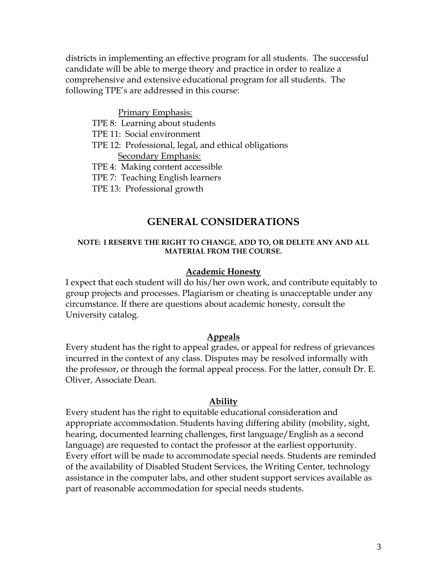districts in implementing an effective program for all students. The successful candidate will be able to merge theory and practice in order to realize a comprehensive and extensive educational program for all students. The following TPE's are addressed in this course:

#### Primary Emphasis:

- TPE 8: Learning about students
- TPE 11: Social environment
- TPE 12: Professional, legal, and ethical obligations Secondary Emphasis:
- TPE 4: Making content accessible
- TPE 7: Teaching English learners
- TPE 13: Professional growth

# **GENERAL CONSIDERATIONS**

#### **NOTE: I RESERVE THE RIGHT TO CHANGE, ADD TO, OR DELETE ANY AND ALL MATERIAL FROM THE COURSE.**

#### **Academic Honesty**

I expect that each student will do his/her own work, and contribute equitably to group projects and processes. Plagiarism or cheating is unacceptable under any circumstance. If there are questions about academic honesty, consult the University catalog.

#### **Appeals**

Every student has the right to appeal grades, or appeal for redress of grievances incurred in the context of any class. Disputes may be resolved informally with the professor, or through the formal appeal process. For the latter, consult Dr. E. Oliver, Associate Dean.

#### **Ability**

Every student has the right to equitable educational consideration and appropriate accommodation. Students having differing ability (mobility, sight, hearing, documented learning challenges, first language/English as a second language) are requested to contact the professor at the earliest opportunity. Every effort will be made to accommodate special needs. Students are reminded of the availability of Disabled Student Services, the Writing Center, technology assistance in the computer labs, and other student support services available as part of reasonable accommodation for special needs students.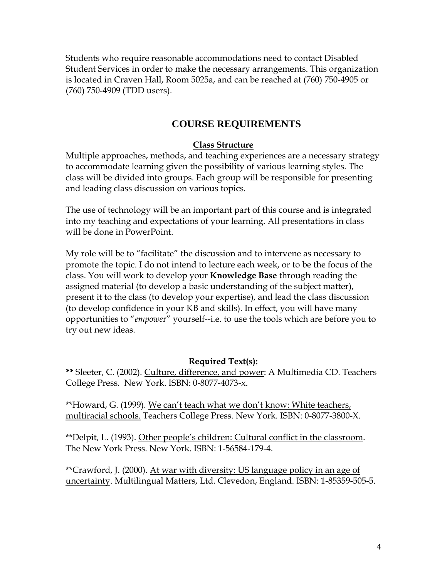Students who require reasonable accommodations need to contact Disabled Student Services in order to make the necessary arrangements. This organization is located in Craven Hall, Room 5025a, and can be reached at (760) 750-4905 or (760) 750-4909 (TDD users).

# **COURSE REQUIREMENTS**

# **Class Structure**

Multiple approaches, methods, and teaching experiences are a necessary strategy to accommodate learning given the possibility of various learning styles. The class will be divided into groups. Each group will be responsible for presenting and leading class discussion on various topics.

The use of technology will be an important part of this course and is integrated into my teaching and expectations of your learning. All presentations in class will be done in PowerPoint.

My role will be to "facilitate" the discussion and to intervene as necessary to promote the topic. I do not intend to lecture each week, or to be the focus of the class. You will work to develop your **Knowledge Base** through reading the assigned material (to develop a basic understanding of the subject matter), present it to the class (to develop your expertise), and lead the class discussion (to develop confidence in your KB and skills). In effect, you will have many opportunities to "*empowe*r" yourself--i.e. to use the tools which are before you to try out new ideas.

# **Required Text(s):**

**\*\*** Sleeter, C. (2002). Culture, difference, and power: A Multimedia CD. Teachers College Press. New York. ISBN: 0-8077-4073-x.

\*\*Howard, G. (1999). We can't teach what we don't know: White teachers, multiracial schools. Teachers College Press. New York. ISBN: 0-8077-3800-X.

\*\*Delpit, L. (1993). Other people's children: Cultural conflict in the classroom. The New York Press. New York. ISBN: 1-56584-179-4.

\*\*Crawford, J. (2000). At war with diversity: US language policy in an age of uncertainty. Multilingual Matters, Ltd. Clevedon, England. ISBN: 1-85359-505-5.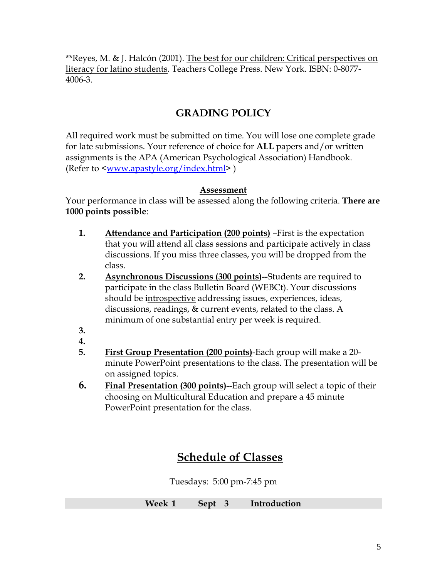\*\*Reyes, M. & J. Halcón (2001). The best for our children: Critical perspectives on literacy for latino students. Teachers College Press. New York. ISBN: 0-8077- 4006-3.

# **GRADING POLICY**

All required work must be submitted on time. You will lose one complete grade for late submissions. Your reference of choice for **ALL** papers and/or written assignments is the APA (American Psychological Association) Handbook. (Refer to [<www.apastyle.org/index.html>](http://www.apastyle.org/index.html) )

# **Assessment**

Your performance in class will be assessed along the following criteria. **There are 1000 points possible**:

- **1. Attendance and Participation (200 points)** –First is the expectation that you will attend all class sessions and participate actively in class discussions. If you miss three classes, you will be dropped from the class.
- **2. Asynchronous Discussions (300 points)--**Students are required to participate in the class Bulletin Board (WEBCt). Your discussions should be introspective addressing issues, experiences, ideas, discussions, readings, & current events, related to the class. A minimum of one substantial entry per week is required.
- **3.**
- **4.**
- **5. First Group Presentation (200 points)**-Each group will make a 20 minute PowerPoint presentations to the class. The presentation will be on assigned topics.
- **6. Final Presentation (300 points)--**Each group will select a topic of their choosing on Multicultural Education and prepare a 45 minute PowerPoint presentation for the class.

# **Schedule of Classes**

Tuesdays: 5:00 pm-7:45 pm

| Week 1 | <b>Sept</b> | Introduction |
|--------|-------------|--------------|
|        |             |              |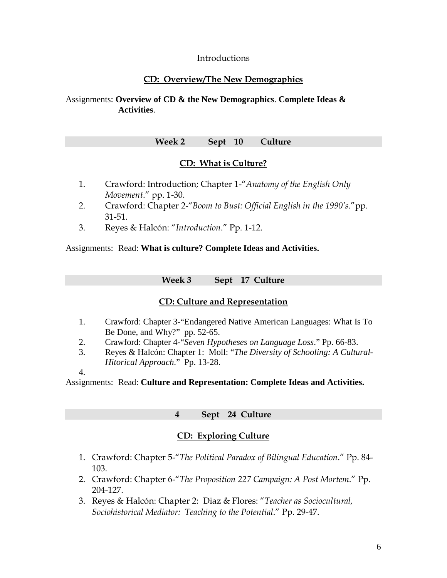## Introductions

# **CD: Overview/The New Demographics**

## Assignments: **Overview of CD & the New Demographics**. **Complete Ideas & Activities**.

## **Week 2 Sept 10 Culture**

# **CD: What is Culture?**

- 1. Crawford: Introduction; Chapter 1-"*Anatomy of the English Only Movement*." pp. 1-30.
- 2. Crawford: Chapter 2-"*Boom to Bust: Official English in the 1990's*."pp. 31-51.
- 3. Reyes & Halcón: "*Introduction*." Pp. 1-12.

Assignments: Read: **What is culture? Complete Ideas and Activities.**

**Week 3 Sept 17 Culture**

# **CD: Culture and Representation**

- 1. Crawford: Chapter 3-"Endangered Native American Languages: What Is To Be Done, and Why?" pp. 52-65.
- 2. Crawford: Chapter 4-"*Seven Hypotheses on Language Loss*." Pp. 66-83.
- 3. Reyes & Halcón: Chapter 1: Moll: "*The Diversity of Schooling: A Cultural-Hitorical Approach*." Pp. 13-28.
- 4.

Assignments: Read: **Culture and Representation: Complete Ideas and Activities.**

# **4 Sept 24 Culture**

# **CD: Exploring Culture**

- 1. Crawford: Chapter 5-"*The Political Paradox of Bilingual Education*." Pp. 84- 103.
- 2. Crawford: Chapter 6-"*The Proposition 227 Campaign: A Post Mortem*." Pp. 204-127.
- 3. Reyes & Halcón: Chapter 2: Diaz & Flores: "*Teacher as Sociocultural, Sociohistorical Mediator: Teaching to the Potential*." Pp. 29-47.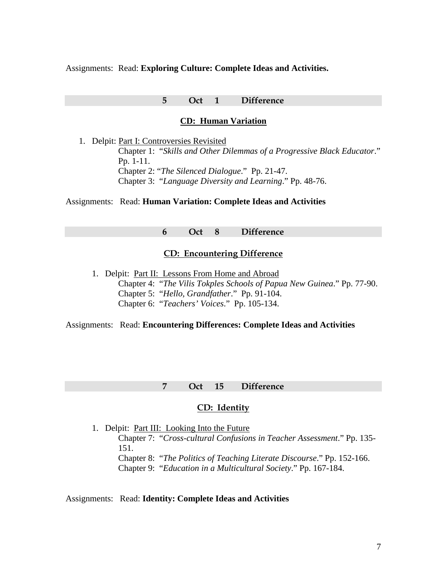Assignments: Read: **Exploring Culture: Complete Ideas and Activities.**

#### **5 Oct 1 Difference**

#### **CD: Human Variation**

1. Delpit: Part I: Controversies Revisited Chapter 1: "*Skills and Other Dilemmas of a Progressive Black Educator*." Pp. 1-11. Chapter 2: "*The Silenced Dialogue*." Pp. 21-47. Chapter 3: "*Language Diversity and Learning*." Pp. 48-76.

Assignments: Read: **Human Variation: Complete Ideas and Activities**

**6 Oct 8 Difference**

#### **CD: Encountering Difference**

1. Delpit: Part II: Lessons From Home and Abroad Chapter 4: "*The Vilis Tokples Schools of Papua New Guinea*." Pp. 77-90. Chapter 5: "*Hello, Grandfather*." Pp. 91-104. Chapter 6: "*Teachers' Voices*." Pp. 105-134.

Assignments: Read: **Encountering Differences: Complete Ideas and Activities**

#### **7 Oct 15 Difference**

#### **CD: Identity**

1. Delpit: Part III: Looking Into the Future Chapter 7: "*Cross-cultural Confusions in Teacher Assessment*." Pp. 135- 151. Chapter 8: "*The Politics of Teaching Literate Discourse*." Pp. 152-166. Chapter 9: "*Education in a Multicultural Society*." Pp. 167-184.

#### Assignments: Read: **Identity: Complete Ideas and Activities**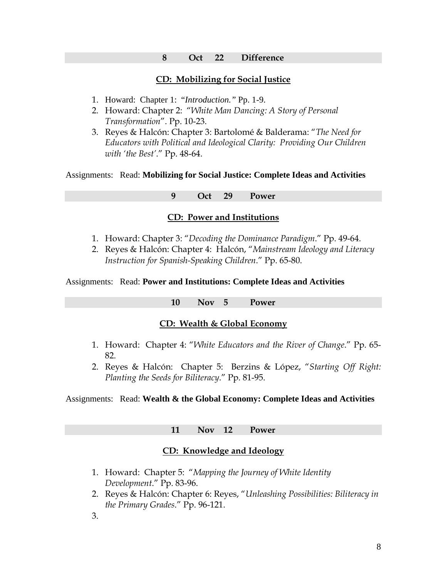#### **8 Oct 22 Difference**

#### **CD: Mobilizing for Social Justice**

- 1. Howard: Chapter 1: "*Introduction."* Pp. 1-9.
- 2. Howard: Chapter 2: "*White Man Dancing: A Story of Personal Transformation*". Pp. 10-23.
- 3. Reyes & Halcón: Chapter 3: Bartolomé & Balderama: "*The Need for Educators with Political and Ideological Clarity: Providing Our Children with 'the Best'*." Pp. 48-64.

Assignments: Read: **Mobilizing for Social Justice: Complete Ideas and Activities**

## **9 Oct 29 Power**

#### **CD: Power and Institutions**

- 1. Howard: Chapter 3: "*Decoding the Dominance Paradigm*." Pp. 49-64.
- 2. Reyes & Halcón: Chapter 4: Halcón, "*Mainstream Ideology and Literacy Instruction for Spanish-Speaking Children*." Pp. 65-80.

Assignments: Read: **Power and Institutions: Complete Ideas and Activities**

**10 Nov 5 Power**

#### **CD: Wealth & Global Economy**

- 1. Howard: Chapter 4: "*White Educators and the River of Change*." Pp. 65- 82.
- 2. Reyes & Halcón: Chapter 5: Berzins & López, "*Starting Off Right: Planting the Seeds for Biliteracy*." Pp. 81-95.

#### Assignments: Read: **Wealth & the Global Economy: Complete Ideas and Activities**

#### **11 Nov 12 Power**

#### **CD: Knowledge and Ideology**

- 1. Howard: Chapter 5: "*Mapping the Journey of White Identity Development*." Pp. 83-96.
- 2. Reyes & Halcón: Chapter 6: Reyes, "*Unleashing Possibilities: Biliteracy in the Primary Grades*." Pp. 96-121.

3.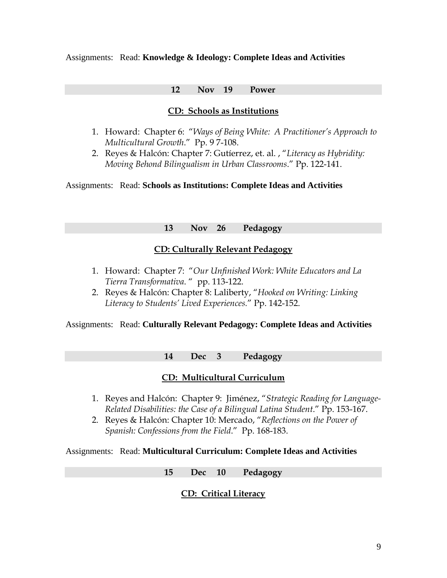#### Assignments: Read: **Knowledge & Ideology: Complete Ideas and Activities**

#### **12 Nov 19 Power**

## **CD: Schools as Institutions**

- 1. Howard: Chapter 6: "*Ways of Being White: A Practitioner's Approach to Multicultural Growth*." Pp. 9 7-108.
- 2. Reyes & Halcón: Chapter 7: Gutíerrez, et. al. , "*Literacy as Hybridity: Moving Behond Bilingualism in Urban Classrooms*." Pp. 122-141.

Assignments: Read: **Schools as Institutions: Complete Ideas and Activities**

#### **13 Nov 26 Pedagogy**

#### **CD: Culturally Relevant Pedagogy**

- 1. Howard: Chapter 7: "*Our Unfinished Work: White Educators and La Tierra Transformativa*. " pp. 113-122.
- 2. Reyes & Halcón: Chapter 8: Laliberty, "*Hooked on Writing: Linking Literacy to Students' Lived Experiences.*" Pp. 142-152.

#### Assignments: Read: **Culturally Relevant Pedagogy: Complete Ideas and Activities**

#### **14 Dec 3 Pedagogy**

# **CD: Multicultural Curriculum**

- 1. Reyes and Halcón: Chapter 9: Jiménez, "*Strategic Reading for Language-Related Disabilities: the Case of a Bilingual Latina Student*." Pp. 153-167.
- 2. Reyes & Halcón: Chapter 10: Mercado, "*Reflections on the Power of Spanish: Confessions from the Field*." Pp. 168-183.

Assignments: Read: **Multicultural Curriculum: Complete Ideas and Activities**

**15 Dec 10 Pedagogy**

# **CD: Critical Literacy**